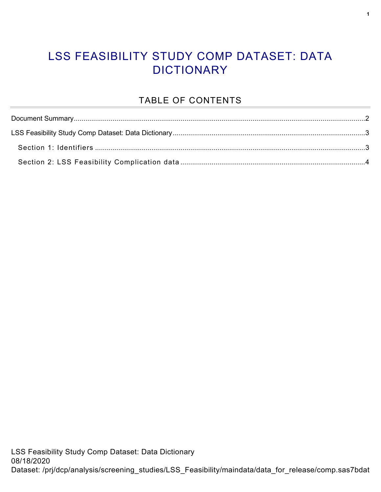#### LSS FEASIBILITY STUDY COMP DATASET: DATA **DICTIONARY**

#### TABLE OF CONTENTS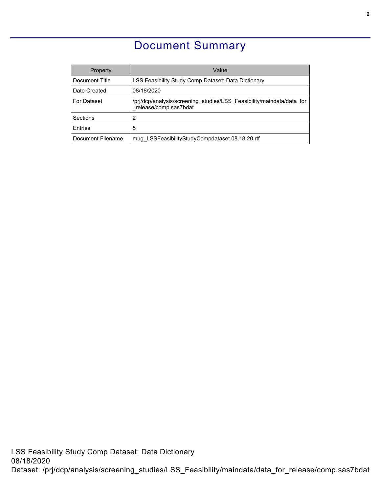### Document Summary

<span id="page-1-0"></span>

| <b>Property</b>    | Value                                                                                          |  |  |
|--------------------|------------------------------------------------------------------------------------------------|--|--|
| Document Title     | LSS Feasibility Study Comp Dataset: Data Dictionary                                            |  |  |
| Date Created       | 08/18/2020                                                                                     |  |  |
| <b>For Dataset</b> | /pri/dcp/analysis/screening studies/LSS Feasibility/maindata/data for<br>release/comp.sas7bdat |  |  |
| Sections           | 2                                                                                              |  |  |
| <b>F</b> ntries    | 5                                                                                              |  |  |
| Document Filename  | mug LSSFeasibilityStudyCompdataset.08.18.20.rtf                                                |  |  |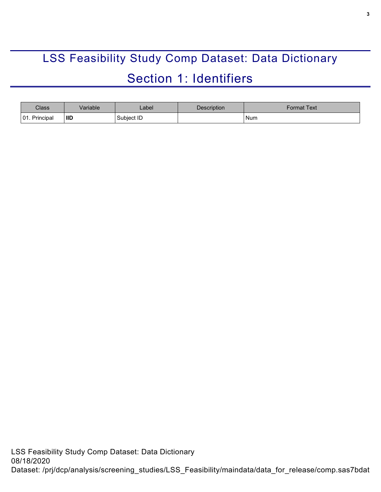# <span id="page-2-0"></span>LSS Feasibility Study Comp Dataset: Data Dictionary Section 1: Identifiers

<span id="page-2-1"></span>

| <b>Class</b>       | /ariable   | _abel      | Description | Format Text |
|--------------------|------------|------------|-------------|-------------|
| Principal<br>101.1 | <b>IID</b> | Subject ID |             | Num         |